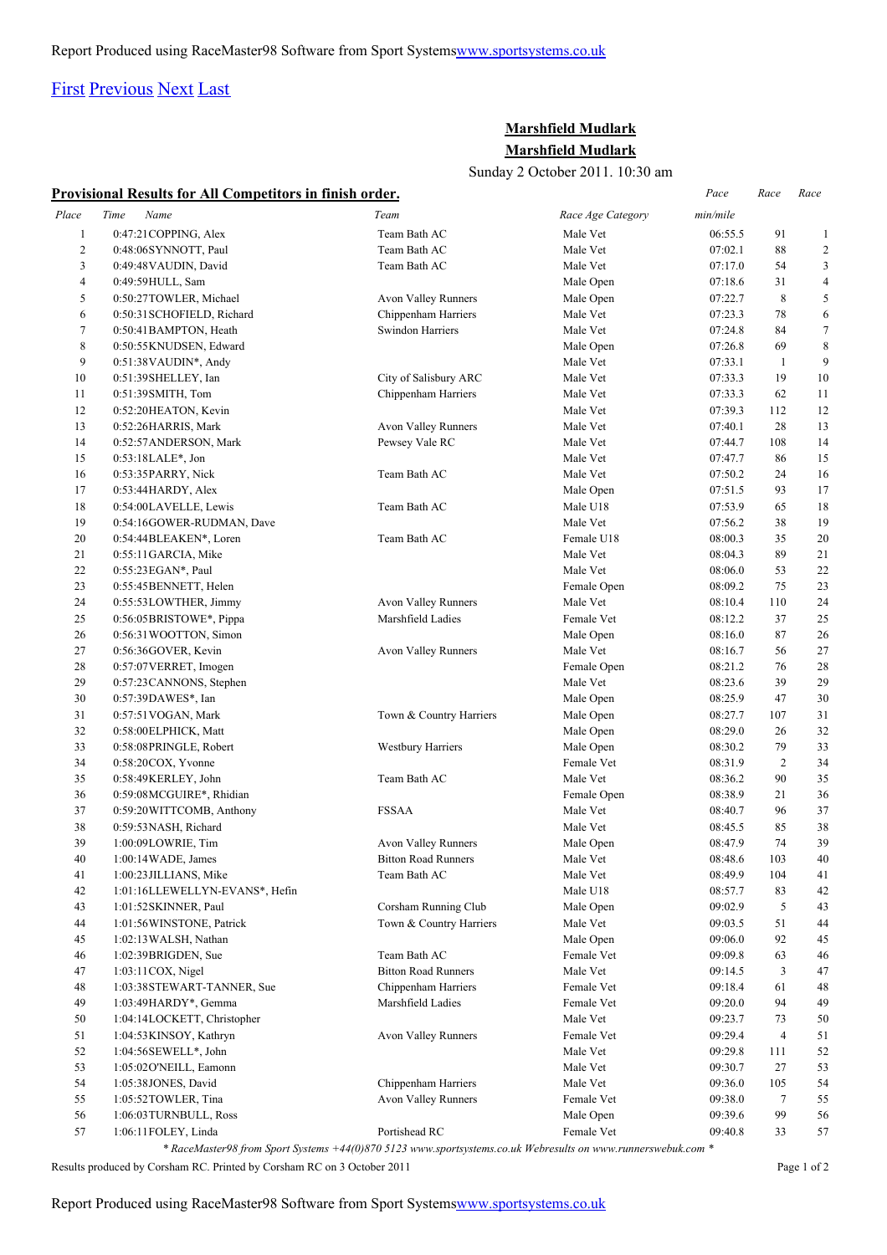## [First](http://www.corshamrunningclub.co.uk/Mudlark/Results/2011/Mudlark Results.html#) [Previous](http://www.corshamrunningclub.co.uk/Mudlark/Results/2011/Mudlark Results.html#) [Next](http://www.corshamrunningclub.co.uk/Mudlark/Results/2011/Mudlark ResultsPage2.html) [Last](http://www.corshamrunningclub.co.uk/Mudlark/Results/2011/Mudlark ResultsPage2.html)

## **Marshfield Mudlark Marshfield Mudlark**

Sunday 2 October 2011. 10:30 am

| Provisional Results for All Competitors in finish order. |  |  |  |  |  |
|----------------------------------------------------------|--|--|--|--|--|
|                                                          |  |  |  |  |  |

|                | <b>Provisional Results for All Competitors in finish order.</b> |                            |                        |          | Race           | Race           |
|----------------|-----------------------------------------------------------------|----------------------------|------------------------|----------|----------------|----------------|
| Place          | Name<br>Time                                                    | Team                       | Race Age Category      | min/mile |                |                |
| 1              | 0:47:21COPPING, Alex                                            | Team Bath AC               | Male Vet               | 06:55.5  | 91             | 1              |
| $\overline{c}$ | 0:48:06SYNNOTT, Paul                                            | Team Bath AC               | Male Vet               | 07:02.1  | 88             | $\overline{c}$ |
| 3              | 0:49:48 VAUDIN, David                                           | Team Bath AC               | Male Vet               | 07:17.0  | 54             | 3              |
| 4              | 0:49:59 HULL, Sam                                               |                            | Male Open              | 07:18.6  | 31             | $\overline{4}$ |
| 5              | 0:50:27TOWLER, Michael                                          | Avon Valley Runners        | Male Open              | 07:22.7  | $\,$ 8 $\,$    | 5              |
| 6              | 0:50:31 SCHOFIELD, Richard                                      | Chippenham Harriers        | Male Vet               | 07:23.3  | 78             | 6              |
| 7              | 0:50:41BAMPTON, Heath                                           | Swindon Harriers           | Male Vet               | 07:24.8  | 84             | $\tau$         |
| 8              | 0:50:55KNUDSEN, Edward                                          |                            | Male Open              | 07:26.8  | 69             | 8              |
| 9              | $0:51:38$ VAUDIN*, Andy                                         |                            | Male Vet               | 07:33.1  | $\mathbf{1}$   | 9              |
| 10             | 0:51:39SHELLEY, Ian                                             | City of Salisbury ARC      | Male Vet               | 07:33.3  | 19             | 10             |
| 11             | 0:51:39SMITH, Tom                                               | Chippenham Harriers        | Male Vet               | 07:33.3  | 62             | 11             |
| 12             | 0:52:20HEATON, Kevin                                            |                            | Male Vet               | 07:39.3  | 112            | 12             |
| 13             | 0:52:26HARRIS, Mark                                             | Avon Valley Runners        | Male Vet               | 07:40.1  | 28             | 13             |
| 14             | 0:52:57 ANDERSON, Mark                                          | Pewsey Vale RC             | Male Vet               | 07:44.7  | 108            | 14             |
| 15             | 0:53:18LALE*, Jon                                               |                            | Male Vet               | 07:47.7  | 86             | 15             |
| 16             | 0:53:35PARRY, Nick                                              | Team Bath AC               | Male Vet               | 07:50.2  | 24             | 16             |
| 17             | $0:53:44HARDY$ , Alex                                           |                            | Male Open              | 07:51.5  | 93             | 17             |
| 18             | 0:54:00LAVELLE, Lewis                                           | Team Bath AC               | Male U18               | 07:53.9  | 65             | 18             |
| 19             | 0:54:16GOWER-RUDMAN, Dave                                       |                            | Male Vet               | 07:56.2  | 38             | 19             |
| 20             |                                                                 | Team Bath AC               |                        | 08:00.3  | 35             | 20             |
| 21             | 0:54:44BLEAKEN*, Loren                                          |                            | Female U18<br>Male Vet | 08:04.3  | 89             | 21             |
| 22             | $0:55:11$ GARCIA, Mike                                          |                            |                        |          |                |                |
|                | 0:55:23 EGAN*, Paul                                             |                            | Male Vet               | 08:06.0  | 53             | 22             |
| 23             | 0:55:45BENNETT, Helen                                           |                            | Female Open            | 08:09.2  | 75             | 23             |
| 24             | 0:55:53LOWTHER, Jimmy                                           | Avon Valley Runners        | Male Vet               | 08:10.4  | 110            | 24             |
| 25             | 0:56:05BRISTOWE*, Pippa                                         | Marshfield Ladies          | Female Vet             | 08:12.2  | 37             | 25             |
| 26             | 0:56:31 WOOTTON, Simon                                          |                            | Male Open              | 08:16.0  | 87             | 26             |
| 27             | 0:56:36GOVER, Kevin                                             | Avon Valley Runners        | Male Vet               | 08:16.7  | 56             | 27             |
| 28             | 0:57:07 VERRET, Imogen                                          |                            | Female Open            | 08:21.2  | 76             | 28             |
| 29             | 0:57:23 CANNONS, Stephen                                        |                            | Male Vet               | 08:23.6  | 39             | 29             |
| 30             | 0:57:39DAWES*, Ian                                              |                            | Male Open              | 08:25.9  | 47             | 30             |
| 31             | 0:57:51 VOGAN, Mark                                             | Town & Country Harriers    | Male Open              | 08:27.7  | 107            | 31             |
| 32             | 0:58:00 ELPHICK, Matt                                           |                            | Male Open              | 08:29.0  | 26             | 32             |
| 33             | 0:58:08PRINGLE, Robert                                          | Westbury Harriers          | Male Open              | 08:30.2  | 79             | 33             |
| 34             | 0:58:20COX, Yvonne                                              |                            | Female Vet             | 08:31.9  | $\mathbf{2}$   | 34             |
| 35             | 0:58:49KERLEY, John                                             | Team Bath AC               | Male Vet               | 08:36.2  | 90             | 35             |
| 36             | 0:59:08MCGUIRE*, Rhidian                                        |                            | Female Open            | 08:38.9  | 21             | 36             |
| 37             | 0:59:20WITTCOMB, Anthony                                        | <b>FSSAA</b>               | Male Vet               | 08:40.7  | 96             | 37             |
| 38             | 0:59:53NASH, Richard                                            |                            | Male Vet               | 08:45.5  | 85             | 38             |
| 39             | 1:00:09LOWRIE, Tim                                              | <b>Avon Valley Runners</b> | Male Open              | 08:47.9  | 74             | 39             |
| 40             | 1:00:14 WADE, James                                             | <b>Bitton Road Runners</b> | Male Vet               | 08:48.6  | 103            | 40             |
| 41             | 1:00:23 JILLIANS, Mike                                          | Team Bath AC               | Male Vet               | 08:49.9  | 104            | 41             |
| 42             | 1:01:16LLEWELLYN-EVANS*, Hefin                                  |                            | Male U18               | 08:57.7  | 83             | 42             |
| 43             | 1:01:52 SKINNER, Paul                                           | Corsham Running Club       | Male Open              | 09:02.9  | 5              | 43             |
| 44             | 1:01:56WINSTONE, Patrick                                        | Town & Country Harriers    | Male Vet               | 09:03.5  | 51             | 44             |
| 45             | 1:02:13 WALSH, Nathan                                           |                            | Male Open              | 09:06.0  | 92             | 45             |
| 46             | 1:02:39BRIGDEN, Sue                                             | Team Bath AC               | Female Vet             | 09:09.8  | 63             | 46             |
| 47             | 1:03:11COX, Nigel                                               | <b>Bitton Road Runners</b> | Male Vet               | 09:14.5  | 3              | 47             |
| 48             | 1:03:38STEWART-TANNER, Sue                                      | Chippenham Harriers        | Female Vet             | 09:18.4  | 61             | 48             |
| 49             | 1:03:49HARDY*, Gemma                                            | Marshfield Ladies          | Female Vet             | 09:20.0  | 94             | 49             |
| 50             | 1:04:14LOCKETT, Christopher                                     |                            | Male Vet               | 09:23.7  | 73             | 50             |
| 51             | 1:04:53KINSOY, Kathryn                                          | Avon Valley Runners        | Female Vet             | 09:29.4  | $\overline{4}$ | 51             |
| 52             | 1:04:56SEWELL*, John                                            |                            | Male Vet               | 09:29.8  | 111            | 52             |
| 53             | 1:05:02 O'NEILL, Eamonn                                         |                            | Male Vet               | 09:30.7  | 27             | 53             |
| 54             | 1:05:38JONES, David                                             | Chippenham Harriers        | Male Vet               | 09:36.0  | 105            | 54             |
| 55             | 1:05:52TOWLER, Tina                                             | Avon Valley Runners        | Female Vet             | 09:38.0  | $\tau$         | 55             |
| 56             | 1:06:03 TURNBULL, Ross                                          |                            | Male Open              | 09:39.6  | 99             | 56             |
| 57             | 1:06:11FOLEY, Linda                                             | Portishead RC              | Female Vet             | 09:40.8  | 33             | 57             |

Results produced by Corsham RC. Printed by Corsham RC on 3 October 2011 Page 1 of 2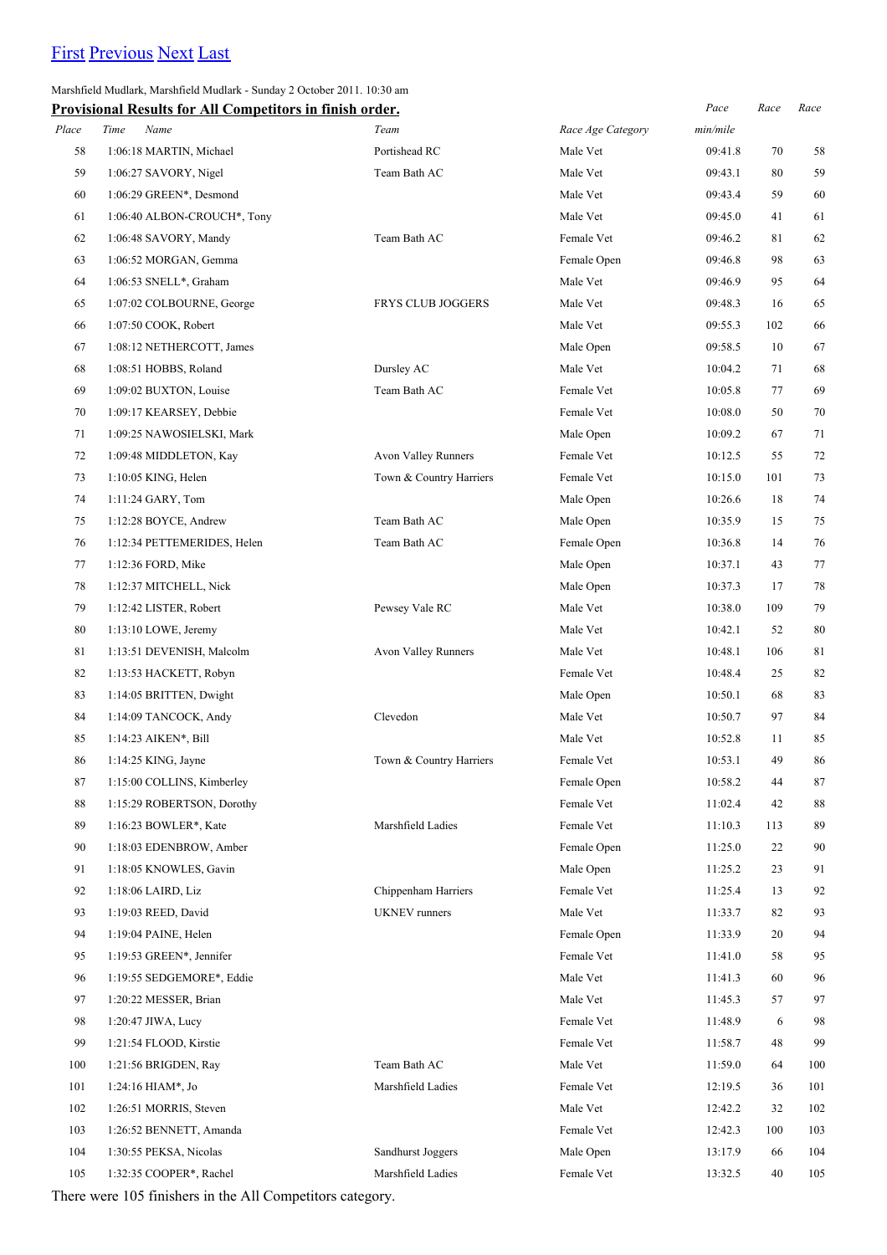# [First](http://www.corshamrunningclub.co.uk/Mudlark/Results/2011/Mudlark Results.html) [Previous](http://www.corshamrunningclub.co.uk/Mudlark/Results/2011/Mudlark Results.html) [Next](http://www.corshamrunningclub.co.uk/Mudlark/Results/2011/Mudlark ResultsPage2.html#) [Last](http://www.corshamrunningclub.co.uk/Mudlark/Results/2011/Mudlark ResultsPage2.html#)

### Marshfield Mudlark, Marshfield Mudlark - Sunday 2 October 2011. 10:30 am

|       | Provisional Results for All Competitors in finish order. |                          |                   | Pace     | Race | Race |
|-------|----------------------------------------------------------|--------------------------|-------------------|----------|------|------|
| Place | Time<br>Name                                             | Team                     | Race Age Category | min/mile |      |      |
| 58    | 1:06:18 MARTIN, Michael                                  | Portishead RC            | Male Vet          | 09:41.8  | 70   | 58   |
| 59    | 1:06:27 SAVORY, Nigel                                    | Team Bath AC             | Male Vet          | 09:43.1  | 80   | 59   |
| 60    | 1:06:29 GREEN*, Desmond                                  |                          | Male Vet          | 09:43.4  | 59   | 60   |
| 61    | 1:06:40 ALBON-CROUCH*, Tony                              |                          | Male Vet          | 09:45.0  | 41   | 61   |
| 62    | 1:06:48 SAVORY, Mandy                                    | Team Bath AC             | Female Vet        | 09:46.2  | 81   | 62   |
| 63    | 1:06:52 MORGAN, Gemma                                    |                          | Female Open       | 09:46.8  | 98   | 63   |
| 64    | 1:06:53 SNELL*, Graham                                   |                          | Male Vet          | 09:46.9  | 95   | 64   |
| 65    | 1:07:02 COLBOURNE, George                                | <b>FRYS CLUB JOGGERS</b> | Male Vet          | 09:48.3  | 16   | 65   |
| 66    | 1:07:50 COOK, Robert                                     |                          | Male Vet          | 09:55.3  | 102  | 66   |
| 67    | 1:08:12 NETHERCOTT, James                                |                          | Male Open         | 09:58.5  | 10   | 67   |
| 68    | 1:08:51 HOBBS, Roland                                    | Dursley AC               | Male Vet          | 10:04.2  | 71   | 68   |
| 69    | 1:09:02 BUXTON, Louise                                   | Team Bath AC             | Female Vet        | 10:05.8  | 77   | 69   |
| 70    | 1:09:17 KEARSEY, Debbie                                  |                          | Female Vet        | 10:08.0  | 50   | 70   |
| 71    | 1:09:25 NAWOSIELSKI, Mark                                |                          | Male Open         | 10:09.2  | 67   | 71   |
| 72    | 1:09:48 MIDDLETON, Kay                                   | Avon Valley Runners      | Female Vet        | 10:12.5  | 55   | 72   |
| 73    | $1:10:05$ KING, Helen                                    | Town & Country Harriers  | Female Vet        | 10:15.0  | 101  | 73   |
| 74    | 1:11:24 GARY, Tom                                        |                          | Male Open         | 10:26.6  | 18   | 74   |
| 75    | 1:12:28 BOYCE, Andrew                                    | Team Bath AC             | Male Open         | 10:35.9  | 15   | 75   |
| 76    | 1:12:34 PETTEMERIDES, Helen                              | Team Bath AC             | Female Open       | 10:36.8  | 14   | 76   |
| 77    | 1:12:36 FORD, Mike                                       |                          | Male Open         | 10:37.1  | 43   | 77   |
| 78    | 1:12:37 MITCHELL, Nick                                   |                          | Male Open         | 10:37.3  | 17   | 78   |
| 79    | 1:12:42 LISTER, Robert                                   | Pewsey Vale RC           | Male Vet          | 10:38.0  | 109  | 79   |
| 80    | $1:13:10$ LOWE, Jeremy                                   |                          | Male Vet          | 10:42.1  | 52   | 80   |
| 81    | 1:13:51 DEVENISH, Malcolm                                | Avon Valley Runners      | Male Vet          | 10:48.1  | 106  | 81   |
| 82    | 1:13:53 HACKETT, Robyn                                   |                          | Female Vet        | 10:48.4  | 25   | 82   |
| 83    | 1:14:05 BRITTEN, Dwight                                  |                          | Male Open         | 10:50.1  | 68   | 83   |
| 84    | 1:14:09 TANCOCK, Andy                                    | Clevedon                 | Male Vet          | 10:50.7  | 97   | 84   |
| 85    | 1:14:23 AIKEN*, Bill                                     |                          | Male Vet          | 10:52.8  | 11   | 85   |
| 86    | $1:14:25$ KING, Jayne                                    | Town & Country Harriers  | Female Vet        | 10:53.1  | 49   | 86   |
| 87    | 1:15:00 COLLINS, Kimberley                               |                          | Female Open       | 10:58.2  | 44   | 87   |
| 88    | 1:15:29 ROBERTSON, Dorothy                               |                          | Female Vet        | 11:02.4  | 42   | 88   |
| 89    | $1:16:23$ BOWLER*, Kate                                  | Marshfield Ladies        | Female Vet        | 11:10.3  | 113  | 89   |
| 90    | 1:18:03 EDENBROW, Amber                                  |                          | Female Open       | 11:25.0  | 22   | 90   |
| 91    | 1:18:05 KNOWLES, Gavin                                   |                          | Male Open         | 11:25.2  | 23   | 91   |
| 92    | 1:18:06 LAIRD, Liz                                       | Chippenham Harriers      | Female Vet        | 11:25.4  | 13   | 92   |
| 93    | 1:19:03 REED, David                                      | <b>UKNEV</b> runners     | Male Vet          | 11:33.7  | 82   | 93   |
| 94    | 1:19:04 PAINE, Helen                                     |                          | Female Open       | 11:33.9  | 20   | 94   |
| 95    | 1:19:53 GREEN*, Jennifer                                 |                          | Female Vet        | 11:41.0  | 58   | 95   |
| 96    | 1:19:55 SEDGEMORE*, Eddie                                |                          | Male Vet          | 11:41.3  | 60   | 96   |
| 97    | 1:20:22 MESSER, Brian                                    |                          | Male Vet          | 11:45.3  | 57   | 97   |
| 98    | 1:20:47 JIWA, Lucy                                       |                          | Female Vet        | 11:48.9  | 6    | 98   |
| 99    | 1:21:54 FLOOD, Kirstie                                   |                          | Female Vet        | 11:58.7  | 48   | 99   |
| 100   | 1:21:56 BRIGDEN, Ray                                     | Team Bath AC             | Male Vet          | 11:59.0  | 64   | 100  |
| 101   | $1:24:16$ HIAM*, Jo                                      | Marshfield Ladies        | Female Vet        | 12:19.5  | 36   | 101  |
| 102   | 1:26:51 MORRIS, Steven                                   |                          | Male Vet          | 12:42.2  | 32   | 102  |
| 103   | 1:26:52 BENNETT, Amanda                                  |                          | Female Vet        | 12:42.3  | 100  | 103  |
| 104   | 1:30:55 PEKSA, Nicolas                                   | Sandhurst Joggers        | Male Open         | 13:17.9  | 66   | 104  |
| 105   | 1:32:35 COOPER*, Rachel                                  | Marshfield Ladies        | Female Vet        | 13:32.5  | 40   | 105  |

There were 105 finishers in the All Competitors category.